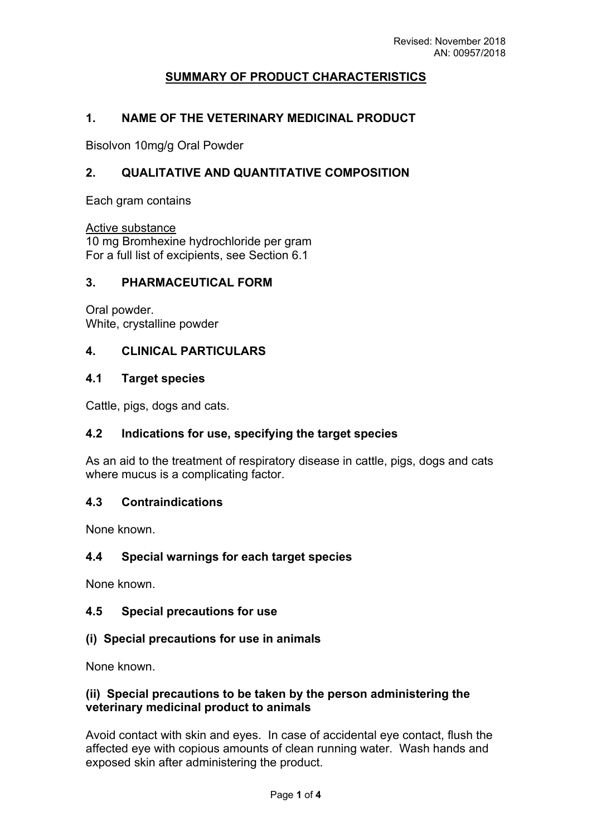# **SUMMARY OF PRODUCT CHARACTERISTICS**

#### **1. NAME OF THE VETERINARY MEDICINAL PRODUCT**

Bisolvon 10mg/g Oral Powder

## **2. QUALITATIVE AND QUANTITATIVE COMPOSITION**

Each gram contains

Active substance

10 mg Bromhexine hydrochloride per gram For a full list of excipients, see Section 6.1

#### **3. PHARMACEUTICAL FORM**

Oral powder. White, crystalline powder

#### **4. CLINICAL PARTICULARS**

#### **4.1 Target species**

Cattle, pigs, dogs and cats.

## **4.2 Indications for use, specifying the target species**

As an aid to the treatment of respiratory disease in cattle, pigs, dogs and cats where mucus is a complicating factor.

## **4.3 Contraindications**

None known.

## **4.4 Special warnings for each target species**

None known.

## **4.5 Special precautions for use**

## **(i) Special precautions for use in animals**

None known.

#### **(ii) Special precautions to be taken by the person administering the veterinary medicinal product to animals**

Avoid contact with skin and eyes. In case of accidental eye contact, flush the affected eye with copious amounts of clean running water. Wash hands and exposed skin after administering the product.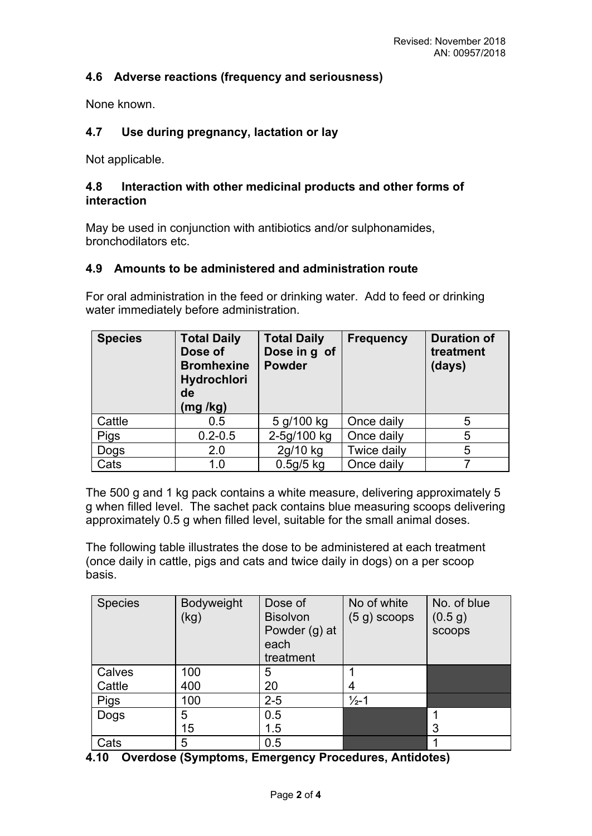## **4.6 Adverse reactions (frequency and seriousness)**

None known.

## **4.7 Use during pregnancy, lactation or lay**

Not applicable.

## **4.8 Interaction with other medicinal products and other forms of interaction**

May be used in conjunction with antibiotics and/or sulphonamides, bronchodilators etc.

#### **4.9 Amounts to be administered and administration route**

For oral administration in the feed or drinking water. Add to feed or drinking water immediately before administration.

| <b>Species</b> | <b>Total Daily</b><br>Dose of<br><b>Bromhexine</b><br><b>Hydrochlori</b><br>de<br>(mg /kg) | <b>Total Daily</b><br>Dose in g of<br><b>Powder</b> | <b>Frequency</b>   | <b>Duration of</b><br>treatment<br>(days) |
|----------------|--------------------------------------------------------------------------------------------|-----------------------------------------------------|--------------------|-------------------------------------------|
| Cattle         | 0.5                                                                                        | 5 g/100 kg                                          | Once daily         | 5                                         |
| Pigs           | $0.2 - 0.5$                                                                                | 2-5g/100 kg                                         | Once daily         | 5                                         |
| Dogs           | 2.0                                                                                        | 2g/10 kg                                            | <b>Twice daily</b> | 5                                         |
| Cats           | 1.0                                                                                        | $0.5g/5$ kg                                         | Once daily         |                                           |

The 500 g and 1 kg pack contains a white measure, delivering approximately 5 g when filled level. The sachet pack contains blue measuring scoops delivering approximately 0.5 g when filled level, suitable for the small animal doses.

The following table illustrates the dose to be administered at each treatment (once daily in cattle, pigs and cats and twice daily in dogs) on a per scoop basis.

| <b>Species</b> | Bodyweight<br>(kg) | Dose of<br><b>Bisolvon</b><br>Powder (g) at<br>each<br>treatment | No of white<br>$(5 g)$ scoops | No. of blue<br>(0.5 g)<br>scoops |
|----------------|--------------------|------------------------------------------------------------------|-------------------------------|----------------------------------|
| Calves         | 100                | 5                                                                |                               |                                  |
| Cattle         | 400                | 20                                                               | 4                             |                                  |
| <b>Pigs</b>    | 100                | $2 - 5$                                                          | $\frac{1}{2}$ -1              |                                  |
| Dogs           | 5                  | 0.5                                                              |                               |                                  |
|                | 15                 | 1.5                                                              |                               | 3                                |
| Cats           | 5                  | 0.5                                                              |                               |                                  |

**4.10 Overdose (Symptoms, Emergency Procedures, Antidotes)**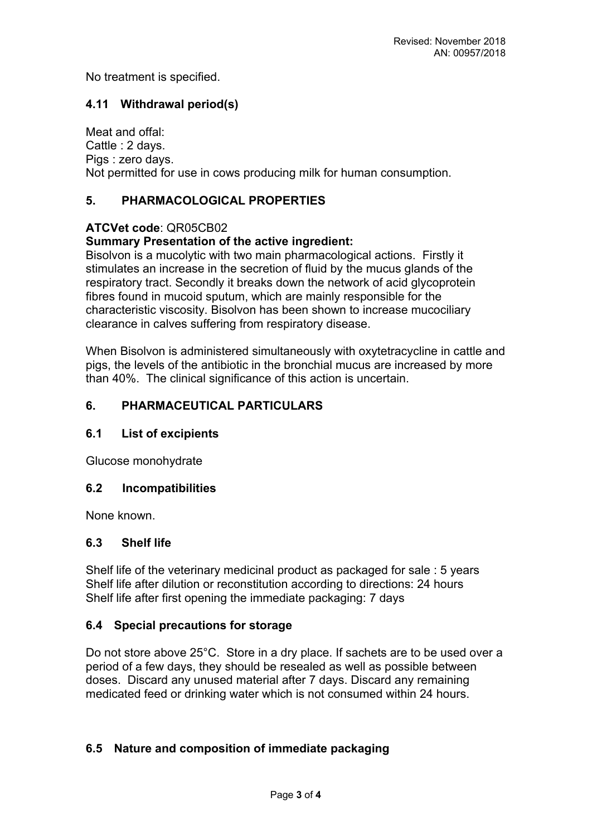No treatment is specified.

## **4.11 Withdrawal period(s)**

Meat and offal: Cattle : 2 days. Pigs : zero days. Not permitted for use in cows producing milk for human consumption.

## **5. PHARMACOLOGICAL PROPERTIES**

## **ATCVet code**: QR05CB02

## **Summary Presentation of the active ingredient:**

Bisolvon is a mucolytic with two main pharmacological actions. Firstly it stimulates an increase in the secretion of fluid by the mucus glands of the respiratory tract. Secondly it breaks down the network of acid glycoprotein fibres found in mucoid sputum, which are mainly responsible for the characteristic viscosity. Bisolvon has been shown to increase mucociliary clearance in calves suffering from respiratory disease.

When Bisolvon is administered simultaneously with oxytetracycline in cattle and pigs, the levels of the antibiotic in the bronchial mucus are increased by more than 40%. The clinical significance of this action is uncertain.

#### **6. PHARMACEUTICAL PARTICULARS**

#### **6.1 List of excipients**

Glucose monohydrate

#### **6.2 Incompatibilities**

None known.

#### **6.3 Shelf life**

Shelf life of the veterinary medicinal product as packaged for sale : 5 years Shelf life after dilution or reconstitution according to directions: 24 hours Shelf life after first opening the immediate packaging: 7 days

#### **6.4 Special precautions for storage**

Do not store above 25°C. Store in a dry place. If sachets are to be used over a period of a few days, they should be resealed as well as possible between doses. Discard any unused material after 7 days. Discard any remaining medicated feed or drinking water which is not consumed within 24 hours.

## **6.5 Nature and composition of immediate packaging**